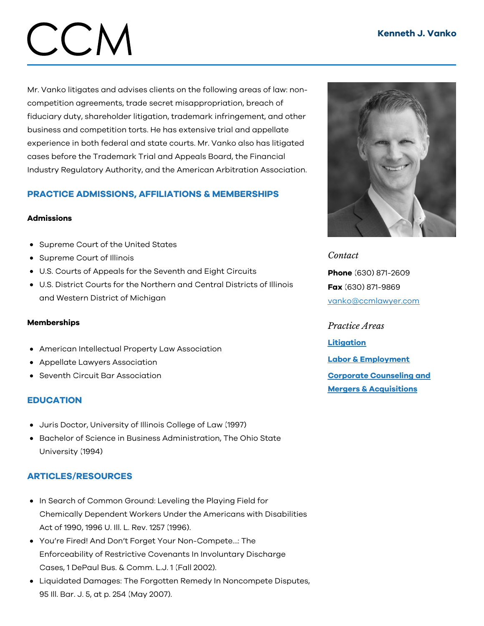# CCM

Mr. Vanko litigates and advises clients on the following areas of law: noncompetition agreements, trade secret misappropriation, breach of fiduciary duty, shareholder litigation, trademark infringement, and other business and competition torts. He has extensive trial and appellate experience in both federal and state courts. Mr. Vanko also has litigated cases before the Trademark Trial and Appeals Board, the Financial Industry Regulatory Authority, and the American Arbitration Association.

# PRACTICE ADMISSIONS, AFFILIATIONS & MEMBERSHIPS

#### Admissions

- Supreme Court of the United States
- Supreme Court of Illinois
- U.S. Courts of Appeals for the Seventh and Eight Circuits
- U.S. District Courts for the Northern and Central Districts of Illinois and Western District of Michigan

#### Memberships

- American Intellectual Property Law Association
- Appellate Lawyers Association
- Seventh Circuit Bar Association

## **EDUCATION**

- Juris Doctor, University of Illinois College of Law (1997)
- Bachelor of Science in Business Administration, The Ohio State University (1994)

## ARTICLES/RESOURCES

- In Search of Common Ground: Leveling the Playing Field for Chemically Dependent Workers Under the Americans with Disabilities Act of 1990, 1996 U. Ill. L. Rev. 1257 (1996).
- You're Fired! And Don't Forget Your Non-Compete…: The Enforceability of Restrictive Covenants In Involuntary Discharge Cases, 1 DePaul Bus. & Comm. L.J. 1 (Fall 2002).
- Liquidated Damages: The Forgotten Remedy In Noncompete Disputes, 95 Ill. Bar. J. 5, at p. 254 (May 2007).



*Contact*

Phone (630) 871-2609 Fax (630) 871-9869 [vanko@ccmlawyer.com](mailto:vanko@ccmlawyer.com)

*Practice Areas* **[Litigation](https://www.ccmlawyer.com/practice-areas/litigation/)** Labor & [Employment](https://www.ccmlawyer.com/practice-areas/labor-employment/) Corporate Counseling and Mergers & [Acquisitions](https://www.ccmlawyer.com/practice-areas/corporate-counseling-mergers-acquistions/)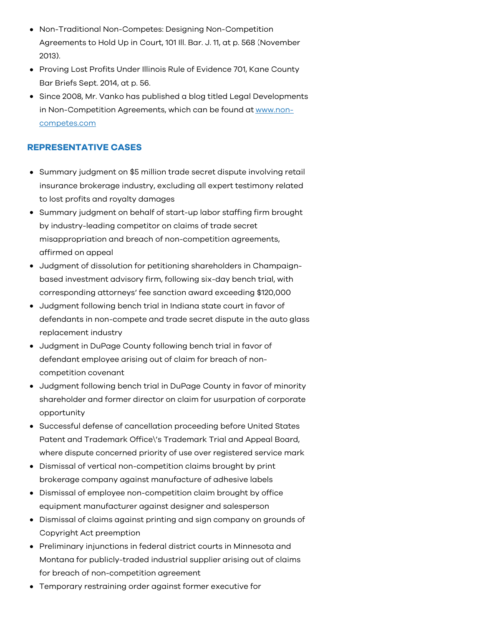- Non-Traditional Non-Competes: Designing Non-Competition Agreements to Hold Up in Court, 101 Ill. Bar. J. 11, at p. 568 (November 2013).
- Proving Lost Profits Under Illinois Rule of Evidence 701, Kane County Bar Briefs Sept. 2014, at p. 56.
- Since 2008, Mr. Vanko has published a blog titled Legal Developments in [Non-Competition](http://www.non-competes.com) Agreements, which can be found at www.noncompetes.com

### REPRESENTATIVE CASES

- Summary judgment on \$5 million trade secret dispute involving retail insurance brokerage industry, excluding all expert testimony related to lost profits and royalty damages
- Summary judgment on behalf of start-up labor staffing firm brought by industry-leading competitor on claims of trade secret misappropriation and breach of non-competition agreements, affirmed on appeal
- Judgment of dissolution for petitioning shareholders in Champaignbased investment advisory firm, following six-day bench trial, with corresponding attorneys' fee sanction award exceeding \$120,000
- Judgment following bench trial in Indiana state court in favor of defendants in non-compete and trade secret dispute in the auto glass replacement industry
- Judgment in DuPage County following bench trial in favor of defendant employee arising out of claim for breach of noncompetition covenant
- Judgment following bench trial in DuPage County in favor of minority shareholder and former director on claim for usurpation of corporate opportunity
- Successful defense of cancellation proceeding before United States Patent and Trademark Office\'s Trademark Trial and Appeal Board, where dispute concerned priority of use over registered service mark
- Dismissal of vertical non-competition claims brought by print brokerage company against manufacture of adhesive labels
- Dismissal of employee non-competition claim brought by office equipment manufacturer against designer and salesperson
- Dismissal of claims against printing and sign company on grounds of Copyright Act preemption
- Preliminary injunctions in federal district courts in Minnesota and Montana for publicly-traded industrial supplier arising out of claims for breach of non-competition agreement
- Temporary restraining order against former executive for